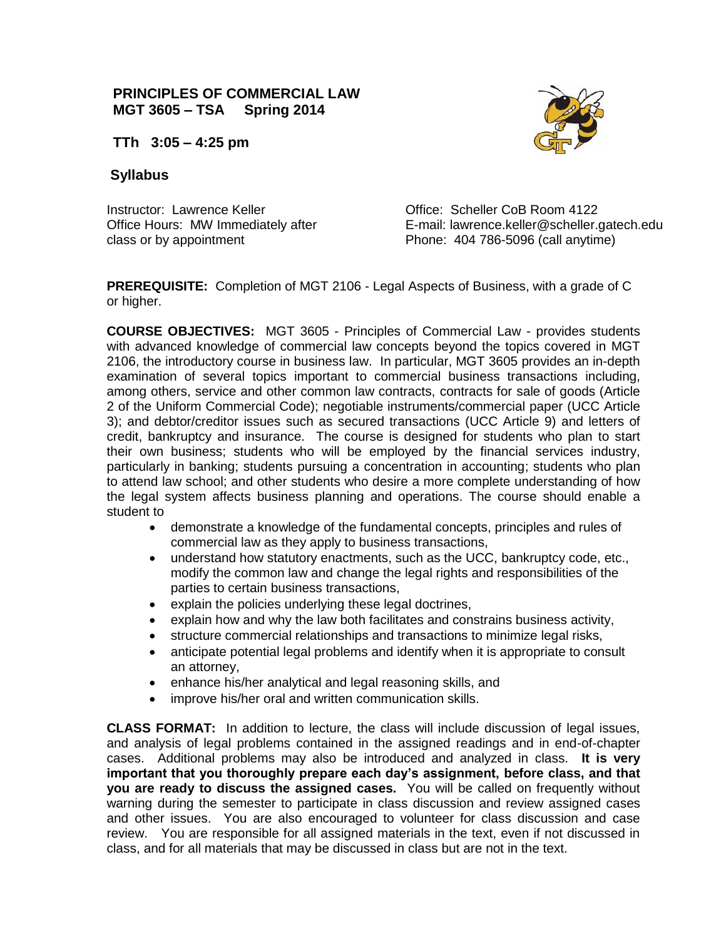# **PRINCIPLES OF COMMERCIAL LAW MGT 3605 – TSA Spring 2014**



**TTh 3:05 – 4:25 pm** 

# **Syllabus**

Instructor: Lawrence Keller **Communist Communist Communist Communist Communist Communist Communist Communist Communist Communist Communist Communist Communist Communist Communist Communist Communist Communist Communist Com** class or by appointment Phone: 404 786-5096 (call anytime)

Office Hours: MW Immediately after E-mail: lawrence.keller@scheller.gatech.edu

**PREREQUISITE:** Completion of MGT 2106 - Legal Aspects of Business, with a grade of C or higher.

**COURSE OBJECTIVES:** MGT 3605 - Principles of Commercial Law - provides students with advanced knowledge of commercial law concepts beyond the topics covered in MGT 2106, the introductory course in business law. In particular, MGT 3605 provides an in-depth examination of several topics important to commercial business transactions including, among others, service and other common law contracts, contracts for sale of goods (Article 2 of the Uniform Commercial Code); negotiable instruments/commercial paper (UCC Article 3); and debtor/creditor issues such as secured transactions (UCC Article 9) and letters of credit, bankruptcy and insurance. The course is designed for students who plan to start their own business; students who will be employed by the financial services industry, particularly in banking; students pursuing a concentration in accounting; students who plan to attend law school; and other students who desire a more complete understanding of how the legal system affects business planning and operations. The course should enable a student to

- demonstrate a knowledge of the fundamental concepts, principles and rules of commercial law as they apply to business transactions,
- understand how statutory enactments, such as the UCC, bankruptcy code, etc., modify the common law and change the legal rights and responsibilities of the parties to certain business transactions,
- explain the policies underlying these legal doctrines,
- explain how and why the law both facilitates and constrains business activity,
- structure commercial relationships and transactions to minimize legal risks,
- anticipate potential legal problems and identify when it is appropriate to consult an attorney,
- enhance his/her analytical and legal reasoning skills, and
- improve his/her oral and written communication skills.

**CLASS FORMAT:** In addition to lecture, the class will include discussion of legal issues, and analysis of legal problems contained in the assigned readings and in end-of-chapter cases. Additional problems may also be introduced and analyzed in class. **It is very important that you thoroughly prepare each day's assignment, before class, and that you are ready to discuss the assigned cases.** You will be called on frequently without warning during the semester to participate in class discussion and review assigned cases and other issues. You are also encouraged to volunteer for class discussion and case review. You are responsible for all assigned materials in the text, even if not discussed in class, and for all materials that may be discussed in class but are not in the text.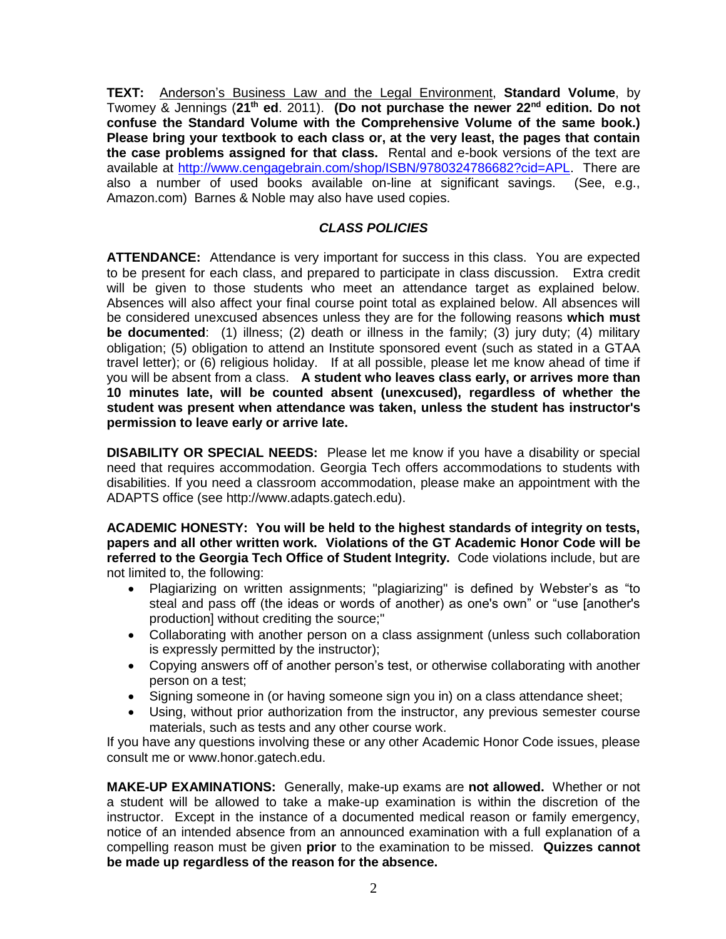**TEXT:** Anderson's Business Law and the Legal Environment, **Standard Volume**, by Twomey & Jennings (**21th ed**. 2011). **(Do not purchase the newer 22nd edition. Do not confuse the Standard Volume with the Comprehensive Volume of the same book.) Please bring your textbook to each class or, at the very least, the pages that contain the case problems assigned for that class.** Rental and e-book versions of the text are available at [http://www.cengagebrain.com/shop/ISBN/9780324786682?cid=APL.](http://www.cengagebrain.com/shop/ISBN/9780324786682?cid=APL) There are also a number of used books available on-line at significant savings. (See, e.g., Amazon.com) Barnes & Noble may also have used copies.

## *CLASS POLICIES*

**ATTENDANCE:** Attendance is very important for success in this class. You are expected to be present for each class, and prepared to participate in class discussion. Extra credit will be given to those students who meet an attendance target as explained below. Absences will also affect your final course point total as explained below. All absences will be considered unexcused absences unless they are for the following reasons **which must be documented**: (1) illness; (2) death or illness in the family; (3) jury duty; (4) military obligation; (5) obligation to attend an Institute sponsored event (such as stated in a GTAA travel letter); or (6) religious holiday. If at all possible, please let me know ahead of time if you will be absent from a class. **A student who leaves class early, or arrives more than 10 minutes late, will be counted absent (unexcused), regardless of whether the student was present when attendance was taken, unless the student has instructor's permission to leave early or arrive late.** 

**DISABILITY OR SPECIAL NEEDS:** Please let me know if you have a disability or special need that requires accommodation. Georgia Tech offers accommodations to students with disabilities. If you need a classroom accommodation, please make an appointment with the ADAPTS office (see http://www.adapts.gatech.edu).

**ACADEMIC HONESTY: You will be held to the highest standards of integrity on tests, papers and all other written work. Violations of the GT Academic Honor Code will be referred to the Georgia Tech Office of Student Integrity.** Code violations include, but are not limited to, the following:

- Plagiarizing on written assignments; "plagiarizing" is defined by Webster's as "to steal and pass off (the ideas or words of another) as one's own" or "use [another's production] without crediting the source;"
- Collaborating with another person on a class assignment (unless such collaboration is expressly permitted by the instructor);
- Copying answers off of another person's test, or otherwise collaborating with another person on a test;
- Signing someone in (or having someone sign you in) on a class attendance sheet;
- Using, without prior authorization from the instructor, any previous semester course materials, such as tests and any other course work.

If you have any questions involving these or any other Academic Honor Code issues, please consult me or www.honor.gatech.edu.

**MAKE-UP EXAMINATIONS:** Generally, make-up exams are **not allowed.** Whether or not a student will be allowed to take a make-up examination is within the discretion of the instructor. Except in the instance of a documented medical reason or family emergency, notice of an intended absence from an announced examination with a full explanation of a compelling reason must be given **prior** to the examination to be missed. **Quizzes cannot be made up regardless of the reason for the absence.**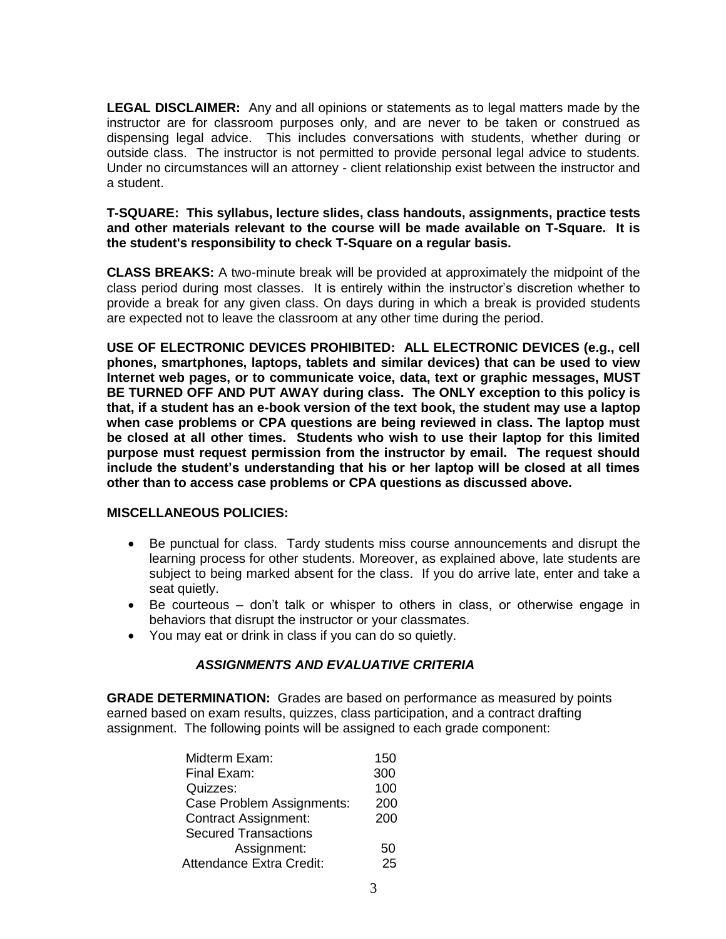**LEGAL DISCLAIMER:** Any and all opinions or statements as to legal matters made by the instructor are for classroom purposes only, and are never to be taken or construed as dispensing legal advice. This includes conversations with students, whether during or outside class. The instructor is not permitted to provide personal legal advice to students. Under no circumstances will an attorney - client relationship exist between the instructor and a student.

### **T-SQUARE: This syllabus, lecture slides, class handouts, assignments, practice tests and other materials relevant to the course will be made available on T-Square. It is the student's responsibility to check T-Square on a regular basis.**

**CLASS BREAKS:** A two-minute break will be provided at approximately the midpoint of the class period during most classes. It is entirely within the instructor's discretion whether to provide a break for any given class. On days during in which a break is provided students are expected not to leave the classroom at any other time during the period.

**USE OF ELECTRONIC DEVICES PROHIBITED: ALL ELECTRONIC DEVICES (e.g., cell phones, smartphones, laptops, tablets and similar devices) that can be used to view Internet web pages, or to communicate voice, data, text or graphic messages, MUST BE TURNED OFF AND PUT AWAY during class. The ONLY exception to this policy is that, if a student has an e-book version of the text book, the student may use a laptop when case problems or CPA questions are being reviewed in class. The laptop must be closed at all other times. Students who wish to use their laptop for this limited purpose must request permission from the instructor by email. The request should include the student's understanding that his or her laptop will be closed at all times other than to access case problems or CPA questions as discussed above.**

#### **MISCELLANEOUS POLICIES:**

- Be punctual for class. Tardy students miss course announcements and disrupt the learning process for other students. Moreover, as explained above, late students are subject to being marked absent for the class. If you do arrive late, enter and take a seat quietly.
- Be courteous don't talk or whisper to others in class, or otherwise engage in behaviors that disrupt the instructor or your classmates.
- You may eat or drink in class if you can do so quietly.

## *ASSIGNMENTS AND EVALUATIVE CRITERIA*

**GRADE DETERMINATION:** Grades are based on performance as measured by points earned based on exam results, quizzes, class participation, and a contract drafting assignment. The following points will be assigned to each grade component:

| Midterm Exam:               | 150 |
|-----------------------------|-----|
| Final Exam:                 | 300 |
| Quizzes:                    | 100 |
| Case Problem Assignments:   | 200 |
| <b>Contract Assignment:</b> | 200 |
| <b>Secured Transactions</b> |     |
| Assignment:                 | 50  |
| Attendance Extra Credit:    | 25  |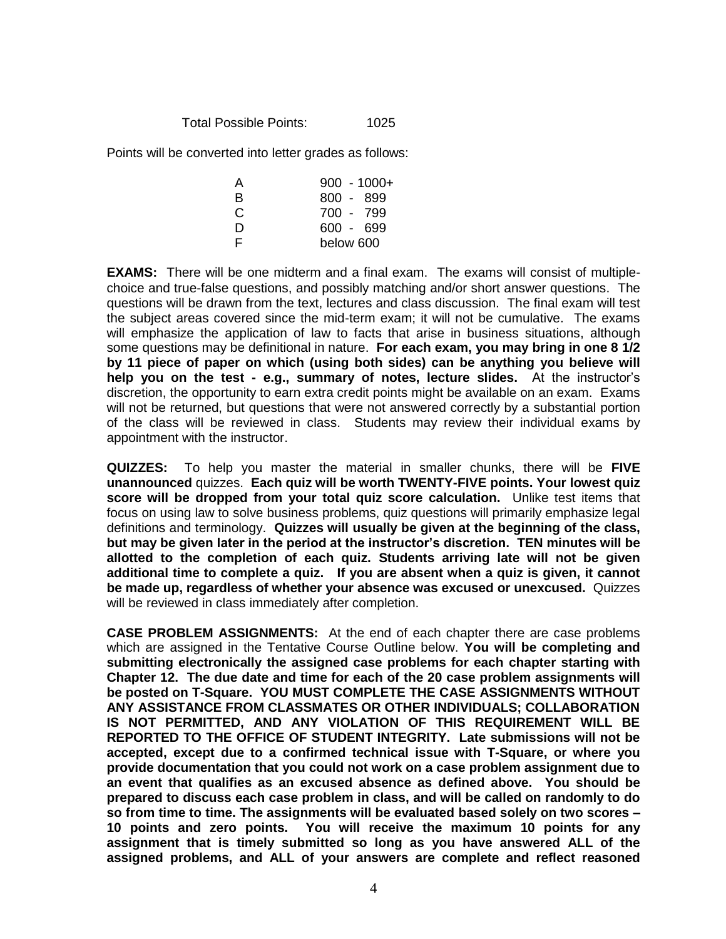Total Possible Points: 1025

Points will be converted into letter grades as follows:

| A | $900 - 1000 +$ |
|---|----------------|
| R | 800 - 899      |
| C | 700 - 799      |
| D | $600 - 699$    |
| F | below 600      |

**EXAMS:** There will be one midterm and a final exam. The exams will consist of multiplechoice and true-false questions, and possibly matching and/or short answer questions. The questions will be drawn from the text, lectures and class discussion. The final exam will test the subject areas covered since the mid-term exam; it will not be cumulative. The exams will emphasize the application of law to facts that arise in business situations, although some questions may be definitional in nature. **For each exam, you may bring in one 8 1/2 by 11 piece of paper on which (using both sides) can be anything you believe will help you on the test - e.g., summary of notes, lecture slides.** At the instructor's discretion, the opportunity to earn extra credit points might be available on an exam. Exams will not be returned, but questions that were not answered correctly by a substantial portion of the class will be reviewed in class. Students may review their individual exams by appointment with the instructor.

**QUIZZES:** To help you master the material in smaller chunks, there will be **FIVE unannounced** quizzes. **Each quiz will be worth TWENTY-FIVE points. Your lowest quiz score will be dropped from your total quiz score calculation.** Unlike test items that focus on using law to solve business problems, quiz questions will primarily emphasize legal definitions and terminology. **Quizzes will usually be given at the beginning of the class, but may be given later in the period at the instructor's discretion. TEN minutes will be allotted to the completion of each quiz. Students arriving late will not be given additional time to complete a quiz. If you are absent when a quiz is given, it cannot be made up, regardless of whether your absence was excused or unexcused.** Quizzes will be reviewed in class immediately after completion.

**CASE PROBLEM ASSIGNMENTS:** At the end of each chapter there are case problems which are assigned in the Tentative Course Outline below. **You will be completing and submitting electronically the assigned case problems for each chapter starting with Chapter 12. The due date and time for each of the 20 case problem assignments will be posted on T-Square. YOU MUST COMPLETE THE CASE ASSIGNMENTS WITHOUT ANY ASSISTANCE FROM CLASSMATES OR OTHER INDIVIDUALS; COLLABORATION IS NOT PERMITTED, AND ANY VIOLATION OF THIS REQUIREMENT WILL BE REPORTED TO THE OFFICE OF STUDENT INTEGRITY. Late submissions will not be accepted, except due to a confirmed technical issue with T-Square, or where you provide documentation that you could not work on a case problem assignment due to an event that qualifies as an excused absence as defined above. You should be prepared to discuss each case problem in class, and will be called on randomly to do so from time to time. The assignments will be evaluated based solely on two scores – 10 points and zero points. You will receive the maximum 10 points for any assignment that is timely submitted so long as you have answered ALL of the assigned problems, and ALL of your answers are complete and reflect reasoned**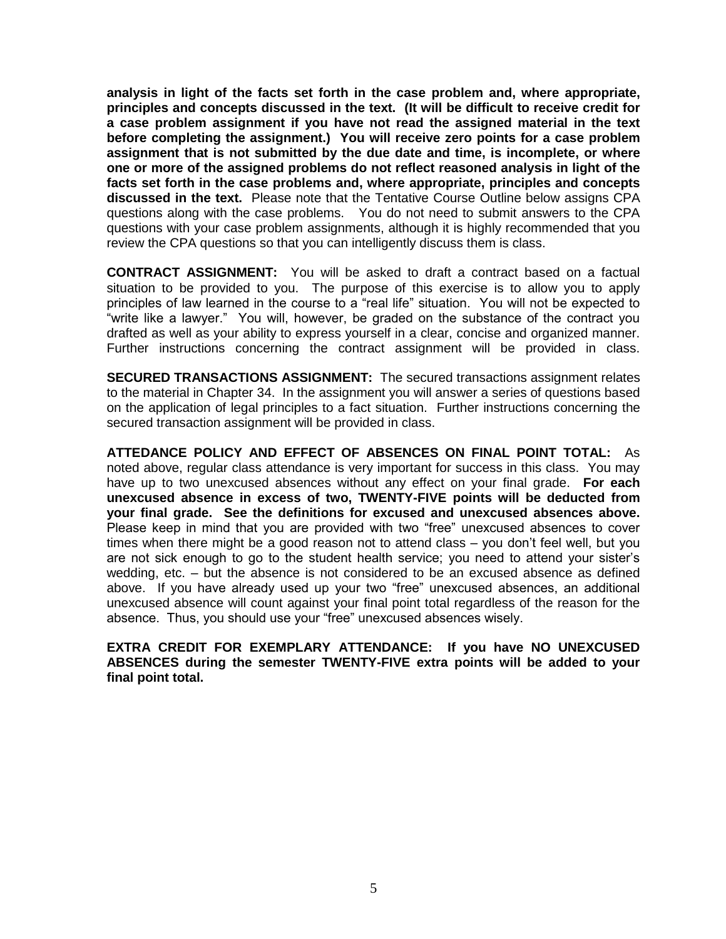**analysis in light of the facts set forth in the case problem and, where appropriate, principles and concepts discussed in the text. (It will be difficult to receive credit for a case problem assignment if you have not read the assigned material in the text before completing the assignment.) You will receive zero points for a case problem assignment that is not submitted by the due date and time, is incomplete, or where one or more of the assigned problems do not reflect reasoned analysis in light of the facts set forth in the case problems and, where appropriate, principles and concepts discussed in the text.** Please note that the Tentative Course Outline below assigns CPA questions along with the case problems. You do not need to submit answers to the CPA questions with your case problem assignments, although it is highly recommended that you review the CPA questions so that you can intelligently discuss them is class.

**CONTRACT ASSIGNMENT:** You will be asked to draft a contract based on a factual situation to be provided to you. The purpose of this exercise is to allow you to apply principles of law learned in the course to a "real life" situation. You will not be expected to "write like a lawyer." You will, however, be graded on the substance of the contract you drafted as well as your ability to express yourself in a clear, concise and organized manner. Further instructions concerning the contract assignment will be provided in class.

**SECURED TRANSACTIONS ASSIGNMENT:** The secured transactions assignment relates to the material in Chapter 34. In the assignment you will answer a series of questions based on the application of legal principles to a fact situation. Further instructions concerning the secured transaction assignment will be provided in class.

**ATTEDANCE POLICY AND EFFECT OF ABSENCES ON FINAL POINT TOTAL:** As noted above, regular class attendance is very important for success in this class. You may have up to two unexcused absences without any effect on your final grade. **For each unexcused absence in excess of two, TWENTY-FIVE points will be deducted from your final grade. See the definitions for excused and unexcused absences above.**  Please keep in mind that you are provided with two "free" unexcused absences to cover times when there might be a good reason not to attend class – you don't feel well, but you are not sick enough to go to the student health service; you need to attend your sister's wedding, etc. – but the absence is not considered to be an excused absence as defined above. If you have already used up your two "free" unexcused absences, an additional unexcused absence will count against your final point total regardless of the reason for the absence. Thus, you should use your "free" unexcused absences wisely.

**EXTRA CREDIT FOR EXEMPLARY ATTENDANCE: If you have NO UNEXCUSED ABSENCES during the semester TWENTY-FIVE extra points will be added to your final point total.**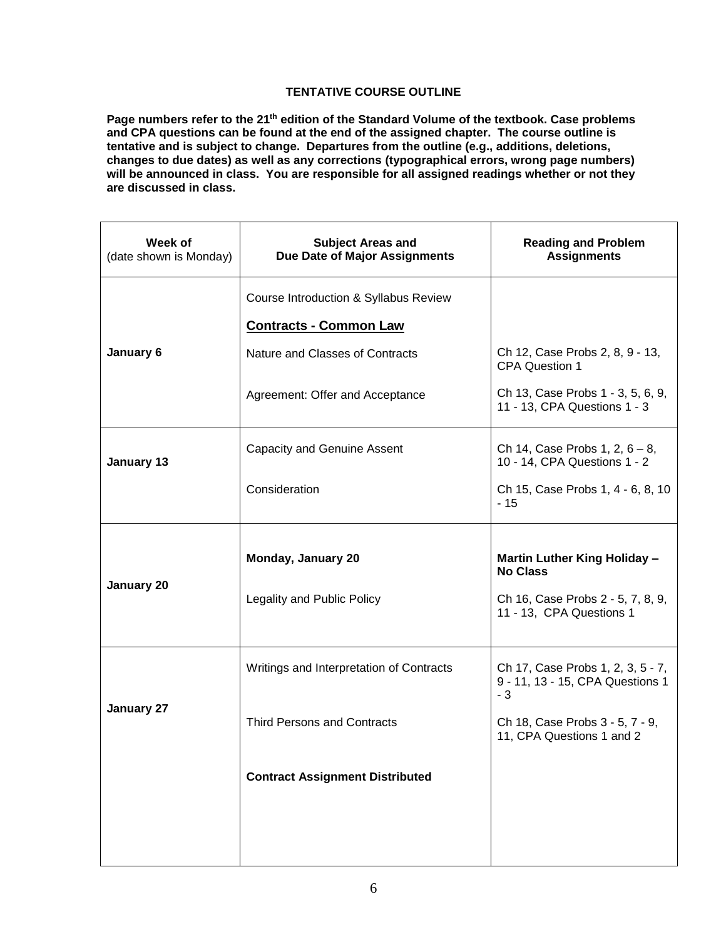### **TENTATIVE COURSE OUTLINE**

**Page numbers refer to the 21th edition of the Standard Volume of the textbook. Case problems and CPA questions can be found at the end of the assigned chapter. The course outline is tentative and is subject to change. Departures from the outline (e.g., additions, deletions, changes to due dates) as well as any corrections (typographical errors, wrong page numbers) will be announced in class. You are responsible for all assigned readings whether or not they are discussed in class.**

| Week of<br>(date shown is Monday) | <b>Subject Areas and</b><br>Due Date of Major Assignments | <b>Reading and Problem</b><br><b>Assignments</b>                              |
|-----------------------------------|-----------------------------------------------------------|-------------------------------------------------------------------------------|
|                                   | Course Introduction & Syllabus Review                     |                                                                               |
|                                   | <b>Contracts - Common Law</b>                             |                                                                               |
| January 6                         | Nature and Classes of Contracts                           | Ch 12, Case Probs 2, 8, 9 - 13,<br><b>CPA Question 1</b>                      |
|                                   | Agreement: Offer and Acceptance                           | Ch 13, Case Probs 1 - 3, 5, 6, 9,<br>11 - 13, CPA Questions 1 - 3             |
| January 13                        | <b>Capacity and Genuine Assent</b>                        | Ch 14, Case Probs 1, 2, $6 - 8$ ,<br>10 - 14, CPA Questions 1 - 2             |
|                                   | Consideration                                             | Ch 15, Case Probs 1, 4 - 6, 8, 10<br>$-15$                                    |
|                                   |                                                           |                                                                               |
|                                   |                                                           |                                                                               |
|                                   | Monday, January 20                                        | Martin Luther King Holiday -<br><b>No Class</b>                               |
| January 20                        | Legality and Public Policy                                | Ch 16, Case Probs 2 - 5, 7, 8, 9,<br>11 - 13, CPA Questions 1                 |
|                                   | Writings and Interpretation of Contracts                  | Ch 17, Case Probs 1, 2, 3, 5 - 7,<br>9 - 11, 13 - 15, CPA Questions 1<br>$-3$ |
| January 27                        | <b>Third Persons and Contracts</b>                        | Ch 18, Case Probs 3 - 5, 7 - 9,<br>11, CPA Questions 1 and 2                  |
|                                   | <b>Contract Assignment Distributed</b>                    |                                                                               |
|                                   |                                                           |                                                                               |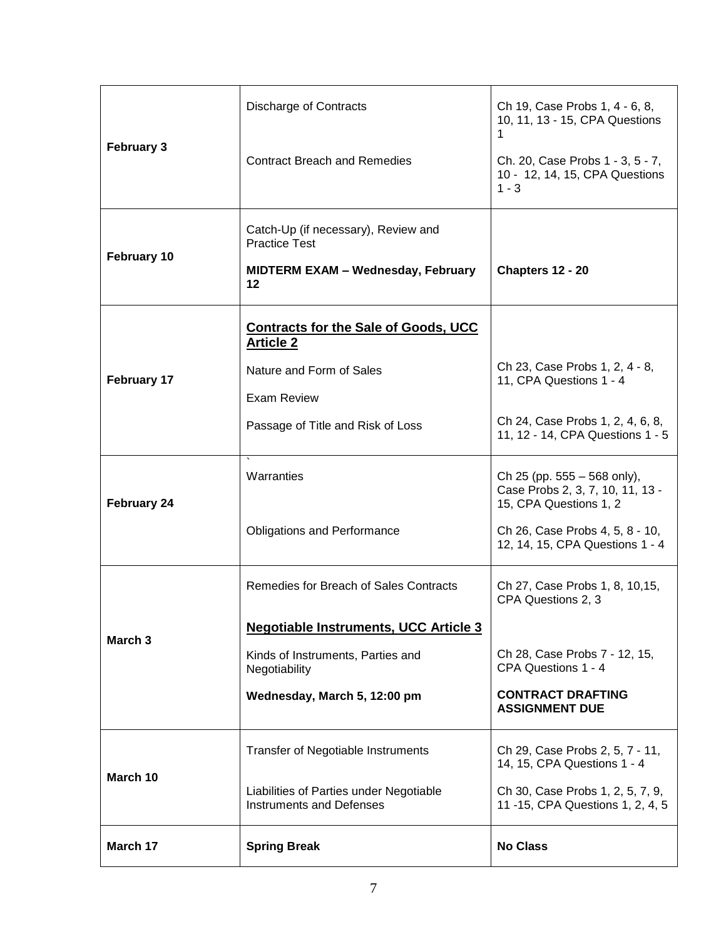|                    | <b>Discharge of Contracts</b>                                       | Ch 19, Case Probs 1, 4 - 6, 8,<br>10, 11, 13 - 15, CPA Questions<br>1                     |
|--------------------|---------------------------------------------------------------------|-------------------------------------------------------------------------------------------|
| <b>February 3</b>  | <b>Contract Breach and Remedies</b>                                 | Ch. 20, Case Probs 1 - 3, 5 - 7,<br>10 - 12, 14, 15, CPA Questions<br>$1 - 3$             |
|                    | Catch-Up (if necessary), Review and<br><b>Practice Test</b>         |                                                                                           |
| February 10        | <b>MIDTERM EXAM - Wednesday, February</b><br>$12 \,$                | Chapters 12 - 20                                                                          |
|                    | <b>Contracts for the Sale of Goods, UCC</b><br><b>Article 2</b>     |                                                                                           |
| <b>February 17</b> | Nature and Form of Sales<br>Exam Review                             | Ch 23, Case Probs 1, 2, 4 - 8,<br>11, CPA Questions 1 - 4                                 |
| <b>February 24</b> | Passage of Title and Risk of Loss                                   | Ch 24, Case Probs 1, 2, 4, 6, 8,<br>11, 12 - 14, CPA Questions 1 - 5                      |
|                    | Warranties                                                          | Ch 25 (pp. 555 – 568 only),<br>Case Probs 2, 3, 7, 10, 11, 13 -<br>15, CPA Questions 1, 2 |
| March <sub>3</sub> | <b>Obligations and Performance</b>                                  | Ch 26, Case Probs 4, 5, 8 - 10,<br>12, 14, 15, CPA Questions 1 - 4                        |
|                    | Remedies for Breach of Sales Contracts                              | Ch 27, Case Probs 1, 8, 10, 15,<br>CPA Questions 2, 3                                     |
|                    | <b>Negotiable Instruments, UCC Article 3</b>                        |                                                                                           |
|                    | Kinds of Instruments, Parties and<br>Negotiability                  | Ch 28, Case Probs 7 - 12, 15,<br>CPA Questions 1 - 4                                      |
|                    | Wednesday, March 5, 12:00 pm                                        | <b>CONTRACT DRAFTING</b><br><b>ASSIGNMENT DUE</b>                                         |
|                    | <b>Transfer of Negotiable Instruments</b>                           | Ch 29, Case Probs 2, 5, 7 - 11,<br>14, 15, CPA Questions 1 - 4                            |
| March 10           | Liabilities of Parties under Negotiable<br>Instruments and Defenses | Ch 30, Case Probs 1, 2, 5, 7, 9,<br>11 - 15, CPA Questions 1, 2, 4, 5                     |
| March 17           | <b>Spring Break</b>                                                 | <b>No Class</b>                                                                           |